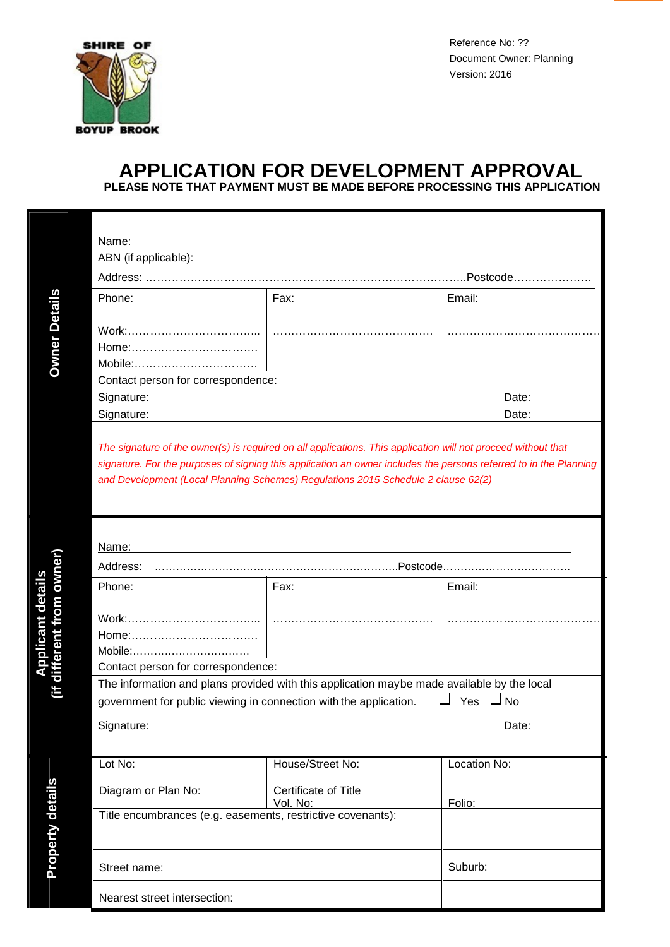

Reference No: ?? Document Owner: Planning Version: 2016

## **APPLICATION FOR DEVELOPMENT APPROVAL**

**PLEASE NOTE THAT PAYMENT MUST BE MADE BEFORE PROCESSING THIS APPLICATION**

**Applicant**

**Prop**

**erty d**

**d etails**

| Name:                              |       |        |  |  |  |  |  |
|------------------------------------|-------|--------|--|--|--|--|--|
| ABN (if applicable):               |       |        |  |  |  |  |  |
| Address:<br>.Postcode              |       |        |  |  |  |  |  |
| Phone:                             | Fax:  | Email: |  |  |  |  |  |
|                                    |       |        |  |  |  |  |  |
| Work:                              |       |        |  |  |  |  |  |
|                                    |       |        |  |  |  |  |  |
| Mobile:                            |       |        |  |  |  |  |  |
| Contact person for correspondence: |       |        |  |  |  |  |  |
| Signature:                         |       | Date:  |  |  |  |  |  |
| Signature:                         | Date: |        |  |  |  |  |  |

*The signature of the owner(s) is required on all applications. This application will not proceed without that signature. For the purposes of signing this application an owner includes the persons referred to in the Planning and Development (Local Planning Schemes) Regulations 2015 Schedule 2 clause 62(2)*

| Name:                                                                                      |                                  |              |       |  |  |  |
|--------------------------------------------------------------------------------------------|----------------------------------|--------------|-------|--|--|--|
| Address:                                                                                   |                                  |              |       |  |  |  |
| Phone:                                                                                     | Fax:                             | Email:       |       |  |  |  |
| Home:<br>Mobile:                                                                           |                                  |              |       |  |  |  |
| Contact person for correspondence:                                                         |                                  |              |       |  |  |  |
| The information and plans provided with this application maybe made available by the local |                                  |              |       |  |  |  |
| Yes $\Box$ No<br>government for public viewing in connection with the application.         |                                  |              |       |  |  |  |
| Signature:                                                                                 |                                  |              | Date: |  |  |  |
|                                                                                            |                                  |              |       |  |  |  |
| Lot No:                                                                                    | House/Street No:                 | Location No: |       |  |  |  |
| Diagram or Plan No:                                                                        | Certificate of Title<br>Vol. No: | Folio:       |       |  |  |  |
| Title encumbrances (e.g. easements, restrictive covenants):                                |                                  |              |       |  |  |  |
|                                                                                            |                                  |              |       |  |  |  |
| Street name:                                                                               |                                  | Suburb:      |       |  |  |  |
| Nearest street intersection:                                                               |                                  |              |       |  |  |  |